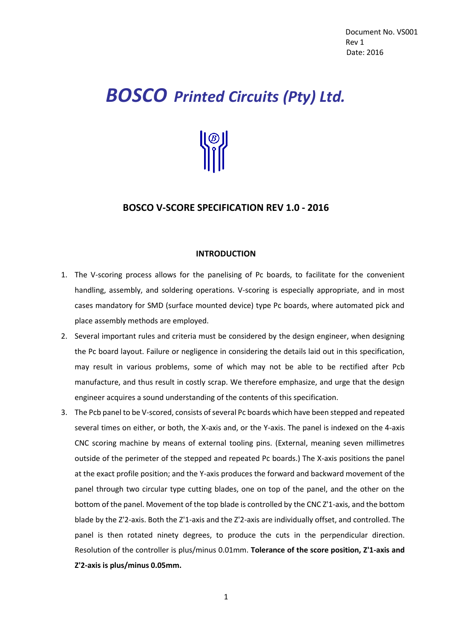# *BOSCO Printed Circuits (Pty) Ltd.*



# **BOSCO V-SCORE SPECIFICATION REV 1.0 - 2016**

### **INTRODUCTION**

- 1. The V-scoring process allows for the panelising of Pc boards, to facilitate for the convenient handling, assembly, and soldering operations. V-scoring is especially appropriate, and in most cases mandatory for SMD (surface mounted device) type Pc boards, where automated pick and place assembly methods are employed.
- 2. Several important rules and criteria must be considered by the design engineer, when designing the Pc board layout. Failure or negligence in considering the details laid out in this specification, may result in various problems, some of which may not be able to be rectified after Pcb manufacture, and thus result in costly scrap. We therefore emphasize, and urge that the design engineer acquires a sound understanding of the contents of this specification.
- 3. The Pcb panel to be V-scored, consists of several Pc boards which have been stepped and repeated several times on either, or both, the X-axis and, or the Y-axis. The panel is indexed on the 4-axis CNC scoring machine by means of external tooling pins. (External, meaning seven millimetres outside of the perimeter of the stepped and repeated Pc boards.) The X-axis positions the panel at the exact profile position; and the Y-axis produces the forward and backward movement of the panel through two circular type cutting blades, one on top of the panel, and the other on the bottom of the panel. Movement of the top blade is controlled by the CNC Z'1-axis, and the bottom blade by the Z'2-axis. Both the Z'1-axis and the Z'2-axis are individually offset, and controlled. The panel is then rotated ninety degrees, to produce the cuts in the perpendicular direction. Resolution of the controller is plus/minus 0.01mm. **Tolerance of the score position, Z'1-axis and Z'2-axis is plus/minus 0.05mm.**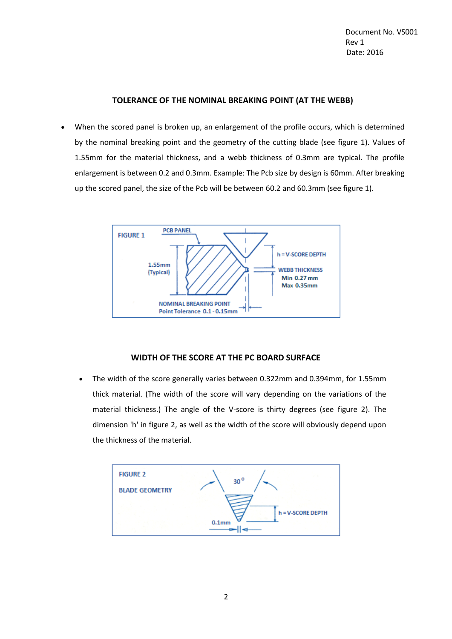Document No. VS001 **Rev 1** Date: 2016

#### **TOLERANCE OF THE NOMINAL BREAKING POINT (AT THE WEBB)**

 When the scored panel is broken up, an enlargement of the profile occurs, which is determined by the nominal breaking point and the geometry of the cutting blade (see figure 1). Values of 1.55mm for the material thickness, and a webb thickness of 0.3mm are typical. The profile enlargement is between 0.2 and 0.3mm. Example: The Pcb size by design is 60mm. After breaking up the scored panel, the size of the Pcb will be between 60.2 and 60.3mm (see figure 1).



## **WIDTH OF THE SCORE AT THE PC BOARD SURFACE**

 The width of the score generally varies between 0.322mm and 0.394mm, for 1.55mm thick material. (The width of the score will vary depending on the variations of the material thickness.) The angle of the V-score is thirty degrees (see figure 2). The dimension 'h' in figure 2, as well as the width of the score will obviously depend upon the thickness of the material.

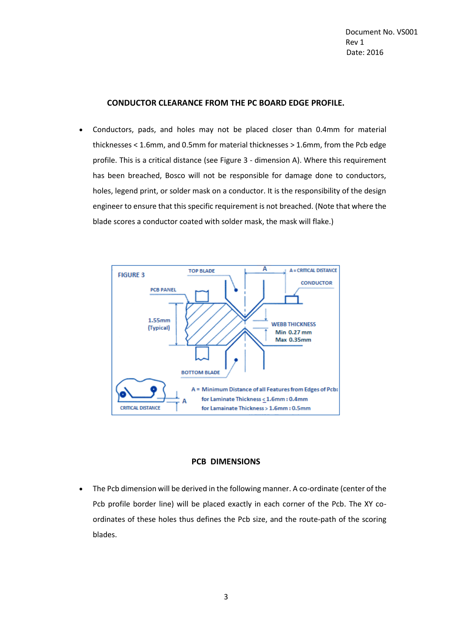#### **CONDUCTOR CLEARANCE FROM THE PC BOARD EDGE PROFILE.**

 Conductors, pads, and holes may not be placed closer than 0.4mm for material thicknesses < 1.6mm, and 0.5mm for material thicknesses > 1.6mm, from the Pcb edge profile. This is a critical distance (see Figure 3 - dimension A). Where this requirement has been breached, Bosco will not be responsible for damage done to conductors, holes, legend print, or solder mask on a conductor. It is the responsibility of the design engineer to ensure that this specific requirement is not breached. (Note that where the blade scores a conductor coated with solder mask, the mask will flake.)



#### **PCB DIMENSIONS**

 The Pcb dimension will be derived in the following manner. A co-ordinate (center of the Pcb profile border line) will be placed exactly in each corner of the Pcb. The XY coordinates of these holes thus defines the Pcb size, and the route-path of the scoring blades.